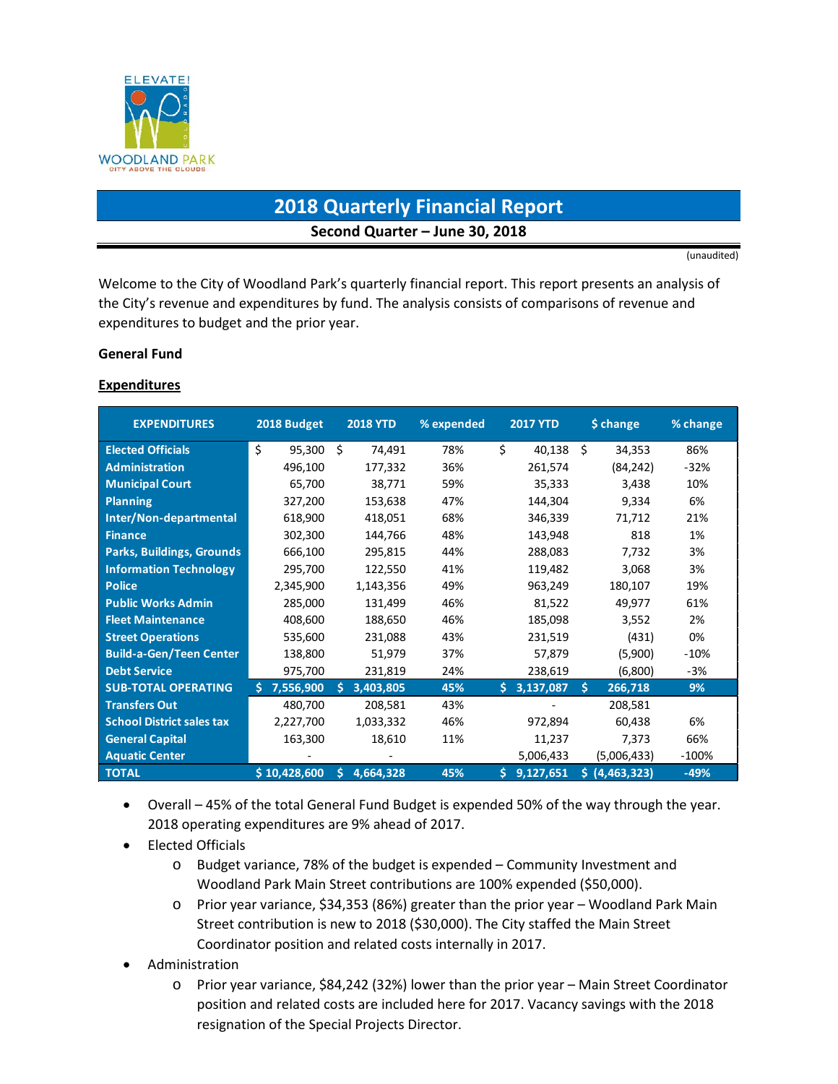

# **2018 Quarterly Financial Report Second Quarter – June 30, 2018**

(unaudited)

Welcome to the City of Woodland Park's quarterly financial report. This report presents an analysis of the City's revenue and expenditures by fund. The analysis consists of comparisons of revenue and expenditures to budget and the prior year.

#### **General Fund**

#### **Expenditures**

| <b>EXPENDITURES</b>              | 2018 Budget     | <b>2018 YTD</b> | % expended | <b>2017 YTD</b> | \$ change        | % change |
|----------------------------------|-----------------|-----------------|------------|-----------------|------------------|----------|
| <b>Elected Officials</b>         | \$<br>95,300    | Ś.<br>74,491    | 78%        | \$<br>40,138    | Ŝ.<br>34,353     | 86%      |
| <b>Administration</b>            | 496,100         | 177,332         | 36%        | 261,574         | (84, 242)        | $-32%$   |
| <b>Municipal Court</b>           | 65,700          | 38,771          | 59%        | 35,333          | 3,438            | 10%      |
| Planning                         | 327,200         | 153,638         | 47%        | 144,304         | 9,334            | 6%       |
| Inter/Non-departmental           | 618,900         | 418,051         | 68%        | 346,339         | 71,712           | 21%      |
| <b>Finance</b>                   | 302,300         | 144,766         | 48%        | 143,948         | 818              | 1%       |
| <b>Parks, Buildings, Grounds</b> | 666,100         | 295,815         | 44%        | 288,083         | 7,732            | 3%       |
| <b>Information Technology</b>    | 295,700         | 122,550         | 41%        | 119,482         | 3,068            | 3%       |
| <b>Police</b>                    | 2,345,900       | 1,143,356       | 49%        | 963,249         | 180,107          | 19%      |
| <b>Public Works Admin</b>        | 285,000         | 131,499         | 46%        | 81,522          | 49,977           | 61%      |
| <b>Fleet Maintenance</b>         | 408,600         | 188,650         | 46%        | 185,098         | 3,552            | 2%       |
| <b>Street Operations</b>         | 535,600         | 231,088         | 43%        | 231,519         | (431)            | 0%       |
| <b>Build-a-Gen/Teen Center</b>   | 138,800         | 51,979          | 37%        | 57,879          | (5,900)          | $-10%$   |
| <b>Debt Service</b>              | 975,700         | 231,819         | 24%        | 238,619         | (6,800)          | -3%      |
| <b>SUB-TOTAL OPERATING</b>       | 7,556,900<br>Š. | 3,403,805<br>Š. | 45%        | 3,137,087<br>Š. | Ś.<br>266,718    | 9%       |
| <b>Transfers Out</b>             | 480,700         | 208,581         | 43%        |                 | 208,581          |          |
| <b>School District sales tax</b> | 2,227,700       | 1,033,332       | 46%        | 972,894         | 60,438           | 6%       |
| <b>General Capital</b>           | 163,300         | 18,610          | 11%        | 11,237          | 7,373            | 66%      |
| <b>Aquatic Center</b>            |                 |                 |            | 5,006,433       | (5,006,433)      | $-100%$  |
| <b>TOTAL</b>                     | \$10,428,600    | 4,664,328<br>S. | 45%        | 9,127,651<br>Ś. | (4,463,323)<br>s | $-49%$   |

- Overall 45% of the total General Fund Budget is expended 50% of the way through the year. 2018 operating expenditures are 9% ahead of 2017.
- Elected Officials
	- o Budget variance, 78% of the budget is expended Community Investment and Woodland Park Main Street contributions are 100% expended (\$50,000).
	- o Prior year variance, \$34,353 (86%) greater than the prior year Woodland Park Main Street contribution is new to 2018 (\$30,000). The City staffed the Main Street Coordinator position and related costs internally in 2017.
- Administration
	- o Prior year variance, \$84,242 (32%) lower than the prior year Main Street Coordinator position and related costs are included here for 2017. Vacancy savings with the 2018 resignation of the Special Projects Director.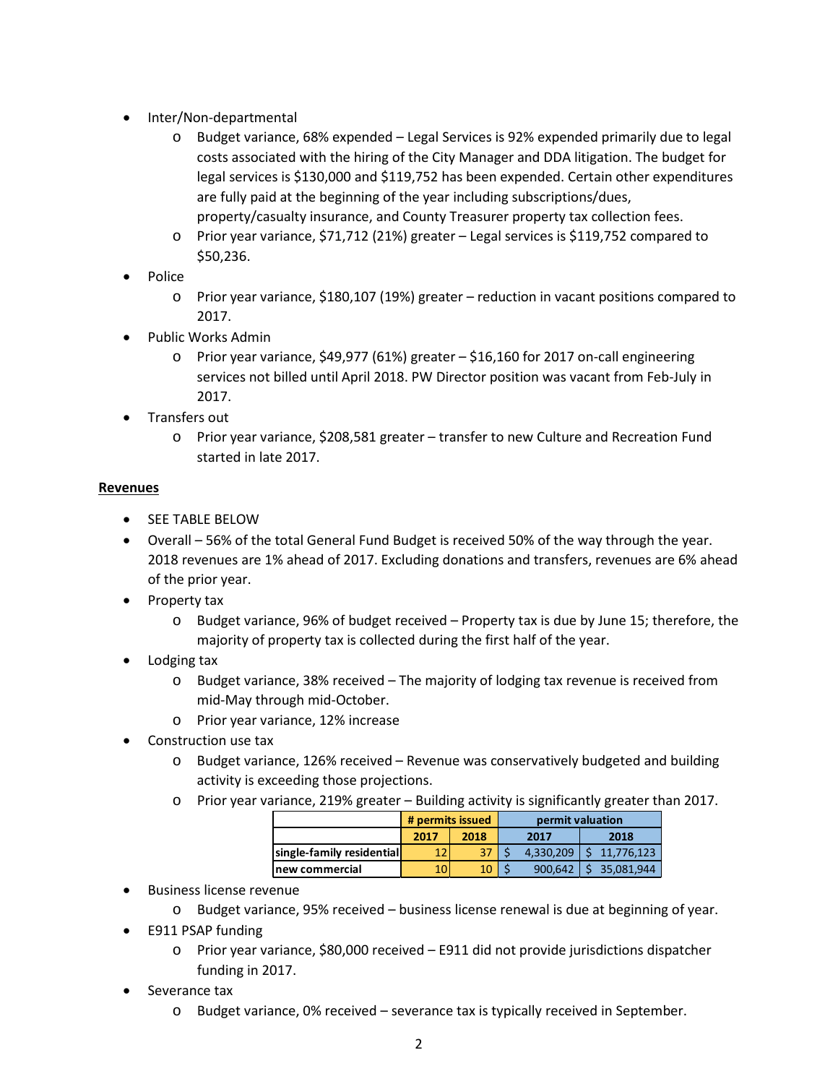- Inter/Non-departmental
	- o Budget variance, 68% expended Legal Services is 92% expended primarily due to legal costs associated with the hiring of the City Manager and DDA litigation. The budget for legal services is \$130,000 and \$119,752 has been expended. Certain other expenditures are fully paid at the beginning of the year including subscriptions/dues, property/casualty insurance, and County Treasurer property tax collection fees.
	- o Prior year variance, \$71,712 (21%) greater Legal services is \$119,752 compared to \$50,236.
- Police
	- o Prior year variance, \$180,107 (19%) greater reduction in vacant positions compared to 2017.
- Public Works Admin
	- $\circ$  Prior year variance, \$49,977 (61%) greater \$16,160 for 2017 on-call engineering services not billed until April 2018. PW Director position was vacant from Feb-July in 2017.
- Transfers out
	- o Prior year variance, \$208,581 greater transfer to new Culture and Recreation Fund started in late 2017.

### **Revenues**

- SEE TABLE BELOW
- Overall 56% of the total General Fund Budget is received 50% of the way through the year. 2018 revenues are 1% ahead of 2017. Excluding donations and transfers, revenues are 6% ahead of the prior year.
- Property tax
	- $\circ$  Budget variance, 96% of budget received Property tax is due by June 15; therefore, the majority of property tax is collected during the first half of the year.
- Lodging tax
	- o Budget variance, 38% received The majority of lodging tax revenue is received from mid-May through mid-October.
	- o Prior year variance, 12% increase
- Construction use tax
	- o Budget variance, 126% received Revenue was conservatively budgeted and building activity is exceeding those projections.
	- o Prior year variance, 219% greater Building activity is significantly greater than 2017.

|                           | # permits issued |      | permit valuation |           |  |            |  |
|---------------------------|------------------|------|------------------|-----------|--|------------|--|
|                           | 2017             | 2018 | 2017             |           |  | 2018       |  |
| single-family residential | 12               | 37   |                  | 4.330.209 |  | 11.776.123 |  |
| lnew commercial           |                  |      |                  | 900.642   |  | 35.081.944 |  |

- Business license revenue
	- o Budget variance, 95% received business license renewal is due at beginning of year.
- E911 PSAP funding
	- o Prior year variance, \$80,000 received E911 did not provide jurisdictions dispatcher funding in 2017.
- Severance tax
	- $\circ$  Budget variance, 0% received severance tax is typically received in September.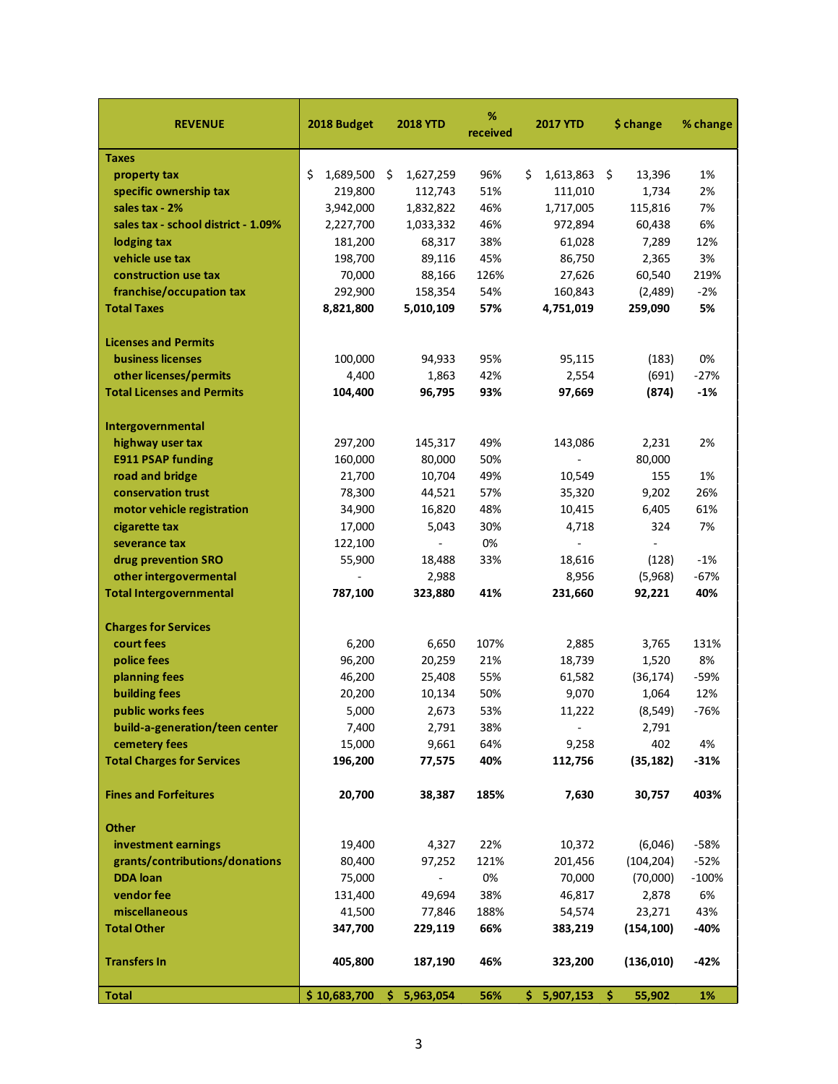| <b>REVENUE</b>                      | 2018 Budget     | <b>2018 YTD</b>                 | ℅<br>received | 2017 YTD                 | \$ change    | % change |
|-------------------------------------|-----------------|---------------------------------|---------------|--------------------------|--------------|----------|
| <b>Taxes</b>                        |                 |                                 |               |                          |              |          |
| property tax                        | \$<br>1,689,500 | $\ddot{\varsigma}$<br>1,627,259 | 96%           | \$<br>1,613,863          | \$<br>13,396 | 1%       |
| specific ownership tax              | 219,800         | 112,743                         | 51%           | 111,010                  | 1,734        | 2%       |
| sales tax - 2%                      | 3,942,000       | 1,832,822                       | 46%           | 1,717,005                | 115,816      | 7%       |
| sales tax - school district - 1.09% | 2,227,700       | 1,033,332                       | 46%           | 972,894                  | 60,438       | 6%       |
| lodging tax                         | 181,200         | 68,317                          | 38%           | 61,028                   | 7,289        | 12%      |
| vehicle use tax                     | 198,700         | 89,116                          | 45%           | 86,750                   | 2,365        | 3%       |
| construction use tax                | 70,000          | 88,166                          | 126%          | 27,626                   | 60,540       | 219%     |
| franchise/occupation tax            | 292,900         | 158,354                         | 54%           | 160,843                  | (2,489)      | $-2%$    |
| <b>Total Taxes</b>                  | 8,821,800       | 5,010,109                       | 57%           | 4,751,019                | 259,090      | 5%       |
| <b>Licenses and Permits</b>         |                 |                                 |               |                          |              |          |
| <b>business licenses</b>            | 100,000         | 94,933                          | 95%           | 95,115                   | (183)        | 0%       |
| other licenses/permits              | 4,400           | 1,863                           | 42%           | 2,554                    | (691)        | $-27%$   |
| <b>Total Licenses and Permits</b>   | 104,400         | 96,795                          | 93%           | 97,669                   | (874)        | $-1%$    |
| Intergovernmental                   |                 |                                 |               |                          |              |          |
| highway user tax                    | 297,200         | 145,317                         | 49%           | 143,086                  | 2,231        | 2%       |
| <b>E911 PSAP funding</b>            | 160,000         | 80,000                          | 50%           | $\overline{\phantom{a}}$ | 80,000       |          |
| road and bridge                     | 21,700          | 10,704                          | 49%           | 10,549                   | 155          | 1%       |
| conservation trust                  | 78,300          | 44,521                          | 57%           | 35,320                   | 9,202        | 26%      |
| motor vehicle registration          | 34,900          | 16,820                          | 48%           | 10,415                   | 6,405        | 61%      |
| cigarette tax                       | 17,000          | 5,043                           | 30%           | 4,718                    | 324          | 7%       |
| severance tax                       | 122,100         |                                 | 0%            |                          |              |          |
| drug prevention SRO                 | 55,900          | 18,488                          | 33%           | 18,616                   | (128)        | $-1%$    |
| other intergovermental              |                 | 2,988                           |               | 8,956                    | (5,968)      | $-67%$   |
| <b>Total Intergovernmental</b>      | 787,100         | 323,880                         | 41%           | 231,660                  | 92,221       | 40%      |
| <b>Charges for Services</b>         |                 |                                 |               |                          |              |          |
| court fees                          | 6,200           | 6,650                           | 107%          | 2,885                    | 3,765        | 131%     |
| police fees                         | 96,200          | 20,259                          | 21%           | 18,739                   | 1,520        | 8%       |
| planning fees                       | 46,200          | 25,408                          | 55%           | 61,582                   | (36, 174)    | $-59%$   |
| <b>building fees</b>                | 20,200          | 10,134                          | 50%           | 9,070                    | 1,064        | 12%      |
| public works fees                   | 5,000           | 2,673                           | 53%           | 11,222                   | (8, 549)     | $-76%$   |
| build-a-generation/teen center      | 7,400           | 2,791                           | 38%           |                          | 2,791        |          |
| cemetery fees                       | 15,000          | 9,661                           | 64%           | 9,258                    | 402          | 4%       |
| <b>Total Charges for Services</b>   | 196,200         | 77,575                          | 40%           | 112,756                  | (35, 182)    | $-31%$   |
| <b>Fines and Forfeitures</b>        | 20,700          | 38,387                          | 185%          | 7,630                    | 30,757       | 403%     |
| <b>Other</b>                        |                 |                                 |               |                          |              |          |
| investment earnings                 | 19,400          | 4,327                           | 22%           | 10,372                   | (6,046)      | $-58%$   |
| grants/contributions/donations      | 80,400          | 97,252                          | 121%          | 201,456                  | (104, 204)   | $-52%$   |
| <b>DDA</b> loan                     | 75,000          |                                 | 0%            | 70,000                   | (70,000)     | $-100%$  |
| vendor fee                          | 131,400         | 49,694                          | 38%           | 46,817                   | 2,878        | 6%       |
| miscellaneous                       | 41,500          | 77,846                          | 188%          | 54,574                   | 23,271       | 43%      |
| <b>Total Other</b>                  | 347,700         | 229,119                         | 66%           | 383,219                  | (154, 100)   | $-40%$   |
| <b>Transfers In</b>                 | 405,800         | 187,190                         | 46%           | 323,200                  | (136, 010)   | $-42%$   |
| <b>Total</b>                        | \$10,683,700    | \$5,963,054                     | 56%           | 5,907,153<br>\$.         | \$<br>55,902 | 1%       |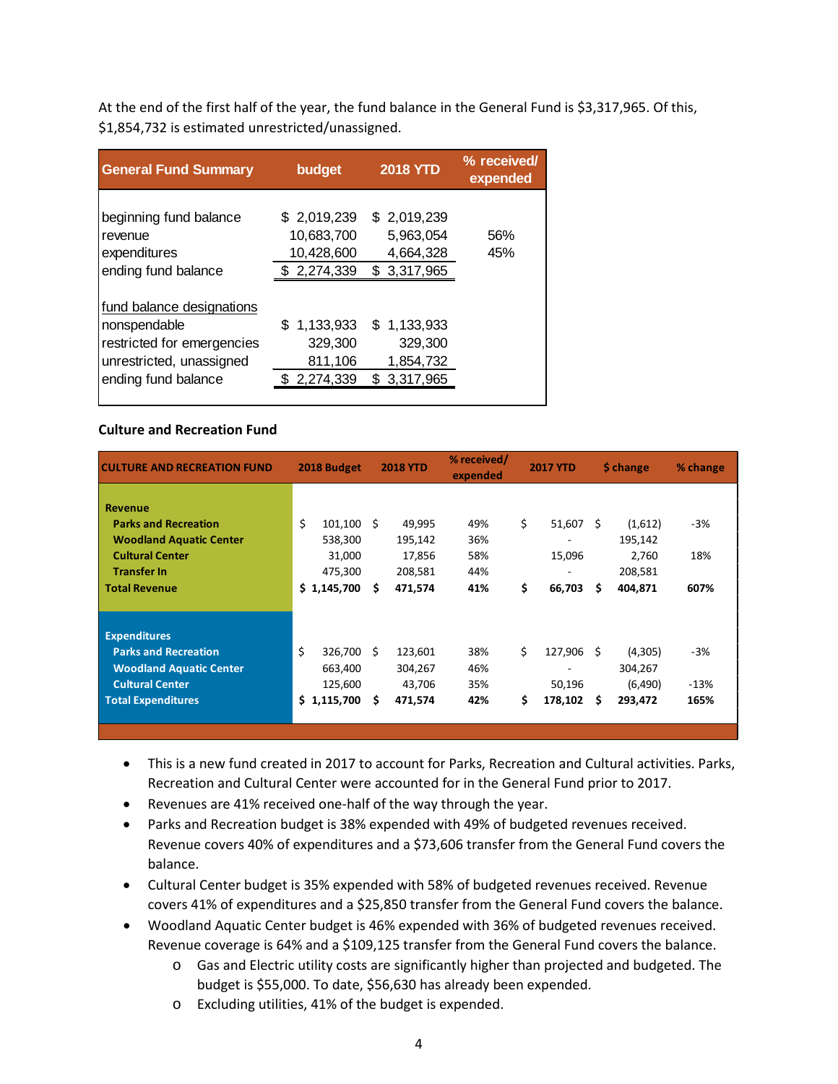At the end of the first half of the year, the fund balance in the General Fund is \$3,317,965. Of this, \$1,854,732 is estimated unrestricted/unassigned.

| <b>General Fund Summary</b> | budget          | <b>2018 YTD</b> | % received/<br>expended |
|-----------------------------|-----------------|-----------------|-------------------------|
|                             |                 |                 |                         |
| beginning fund balance      | \$2,019,239     | \$2,019,239     |                         |
| revenue                     | 10,683,700      | 5,963,054       | 56%                     |
| expenditures                | 10,428,600      | 4,664,328       | 45%                     |
| ending fund balance         | \$2,274,339     | \$3,317,965     |                         |
|                             |                 |                 |                         |
| fund balance designations   |                 |                 |                         |
| nonspendable                | \$<br>1,133,933 | \$1.133.933     |                         |
| restricted for emergencies  | 329,300         | 329,300         |                         |
| unrestricted, unassigned    | 811,106         | 1,854,732       |                         |
| ending fund balance         | 2,274,339       | \$3,317,965     |                         |
|                             |                 |                 |                         |

### **Culture and Recreation Fund**

| <b>CULTURE AND RECREATION FUND</b> | 2018 Budget |         | <b>2018 YTD</b> |         | % received/<br>expended | <b>2017 YTD</b> |    | \$ change | % change |  |
|------------------------------------|-------------|---------|-----------------|---------|-------------------------|-----------------|----|-----------|----------|--|
| <b>Revenue</b>                     |             |         |                 |         |                         |                 |    |           |          |  |
| <b>Parks and Recreation</b>        | \$          | 101,100 | S.              | 49,995  | 49%                     | \$<br>51,607    | -Ŝ | (1,612)   | -3%      |  |
| <b>Woodland Aquatic Center</b>     |             | 538,300 |                 | 195,142 | 36%                     |                 |    | 195,142   |          |  |
| <b>Cultural Center</b>             |             | 31,000  |                 | 17,856  | 58%                     | 15,096          |    | 2,760     | 18%      |  |
| <b>Transfer In</b>                 |             | 475,300 |                 | 208,581 | 44%                     |                 |    | 208,581   |          |  |
| <b>Total Revenue</b>               | \$1,145,700 |         | \$.             | 471,574 | 41%                     | \$<br>66,703    | \$ | 404,871   | 607%     |  |
|                                    |             |         |                 |         |                         |                 |    |           |          |  |
| <b>Expenditures</b>                |             |         |                 |         |                         |                 |    |           |          |  |
| <b>Parks and Recreation</b>        | \$          | 326,700 | Ŝ.              | 123,601 | 38%                     | \$<br>127,906   | Ŝ. | (4,305)   | $-3%$    |  |
| <b>Woodland Aquatic Center</b>     |             | 663,400 |                 | 304,267 | 46%                     |                 |    | 304,267   |          |  |
| <b>Cultural Center</b>             |             | 125,600 |                 | 43,706  | 35%                     | 50,196          |    | (6,490)   | $-13%$   |  |
| <b>Total Expenditures</b>          | \$1,115,700 |         | \$.             | 471,574 | 42%                     | \$<br>178,102   | S  | 293,472   | 165%     |  |
|                                    |             |         |                 |         |                         |                 |    |           |          |  |
|                                    |             |         |                 |         |                         |                 |    |           |          |  |

- This is a new fund created in 2017 to account for Parks, Recreation and Cultural activities. Parks, Recreation and Cultural Center were accounted for in the General Fund prior to 2017.
- Revenues are 41% received one-half of the way through the year.
- Parks and Recreation budget is 38% expended with 49% of budgeted revenues received. Revenue covers 40% of expenditures and a \$73,606 transfer from the General Fund covers the balance.
- Cultural Center budget is 35% expended with 58% of budgeted revenues received. Revenue covers 41% of expenditures and a \$25,850 transfer from the General Fund covers the balance.
- Woodland Aquatic Center budget is 46% expended with 36% of budgeted revenues received. Revenue coverage is 64% and a \$109,125 transfer from the General Fund covers the balance.
	- o Gas and Electric utility costs are significantly higher than projected and budgeted. The budget is \$55,000. To date, \$56,630 has already been expended.
	- o Excluding utilities, 41% of the budget is expended.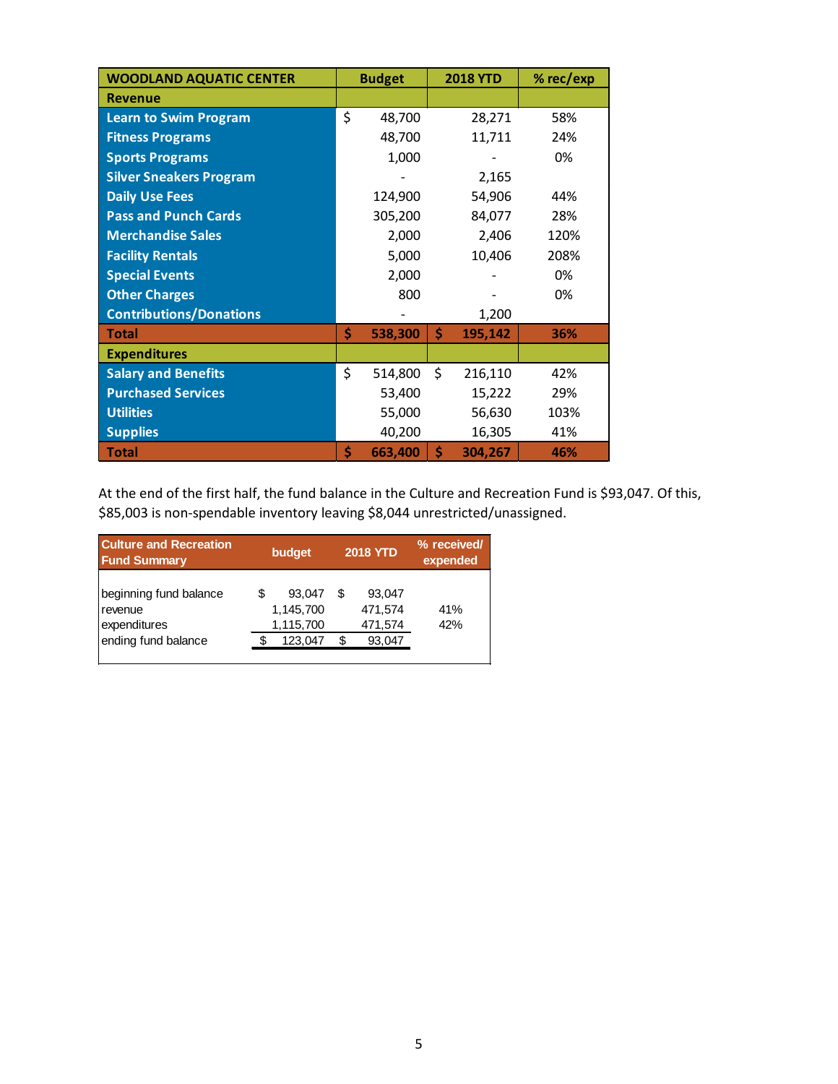| <b>WOODLAND AQUATIC CENTER</b> | <b>Budget</b> | <b>2018 YTD</b> | % rec/exp |
|--------------------------------|---------------|-----------------|-----------|
| <b>Revenue</b>                 |               |                 |           |
| <b>Learn to Swim Program</b>   | \$<br>48,700  | 28,271          | 58%       |
| <b>Fitness Programs</b>        | 48,700        | 11,711          | 24%       |
| <b>Sports Programs</b>         | 1,000         |                 | 0%        |
| <b>Silver Sneakers Program</b> |               | 2,165           |           |
| <b>Daily Use Fees</b>          | 124,900       | 54,906          | 44%       |
| <b>Pass and Punch Cards</b>    | 305,200       | 84,077          | 28%       |
| <b>Merchandise Sales</b>       | 2,000         | 2,406           | 120%      |
| <b>Facility Rentals</b>        | 5,000         | 10,406          | 208%      |
| <b>Special Events</b>          | 2,000         |                 | 0%        |
| <b>Other Charges</b>           | 800           |                 | 0%        |
| <b>Contributions/Donations</b> |               | 1,200           |           |
| <b>Total</b>                   | \$<br>538,300 | \$<br>195,142   | 36%       |
| <b>Expenditures</b>            |               |                 |           |
| <b>Salary and Benefits</b>     | \$<br>514,800 | \$<br>216,110   | 42%       |
| <b>Purchased Services</b>      | 53,400        | 15,222          | 29%       |
| <b>Utilities</b>               | 55,000        | 56,630          | 103%      |
| <b>Supplies</b>                | 40,200        | 16,305          | 41%       |
| <b>Total</b>                   | \$<br>663,400 | \$<br>304,267   | 46%       |

At the end of the first half, the fund balance in the Culture and Recreation Fund is \$93,047. Of this, \$85,003 is non-spendable inventory leaving \$8,044 unrestricted/unassigned.

| <b>Culture and Recreation</b><br><b>Fund Summary</b>                     | budget                                           | <b>2018 YTD</b>                             | % received/<br>expended |
|--------------------------------------------------------------------------|--------------------------------------------------|---------------------------------------------|-------------------------|
| beginning fund balance<br>revenue<br>expenditures<br>ending fund balance | S<br>93.047<br>1,145,700<br>1,115,700<br>123,047 | 93,047<br>S<br>471,574<br>471,574<br>93,047 | 41%<br>42%              |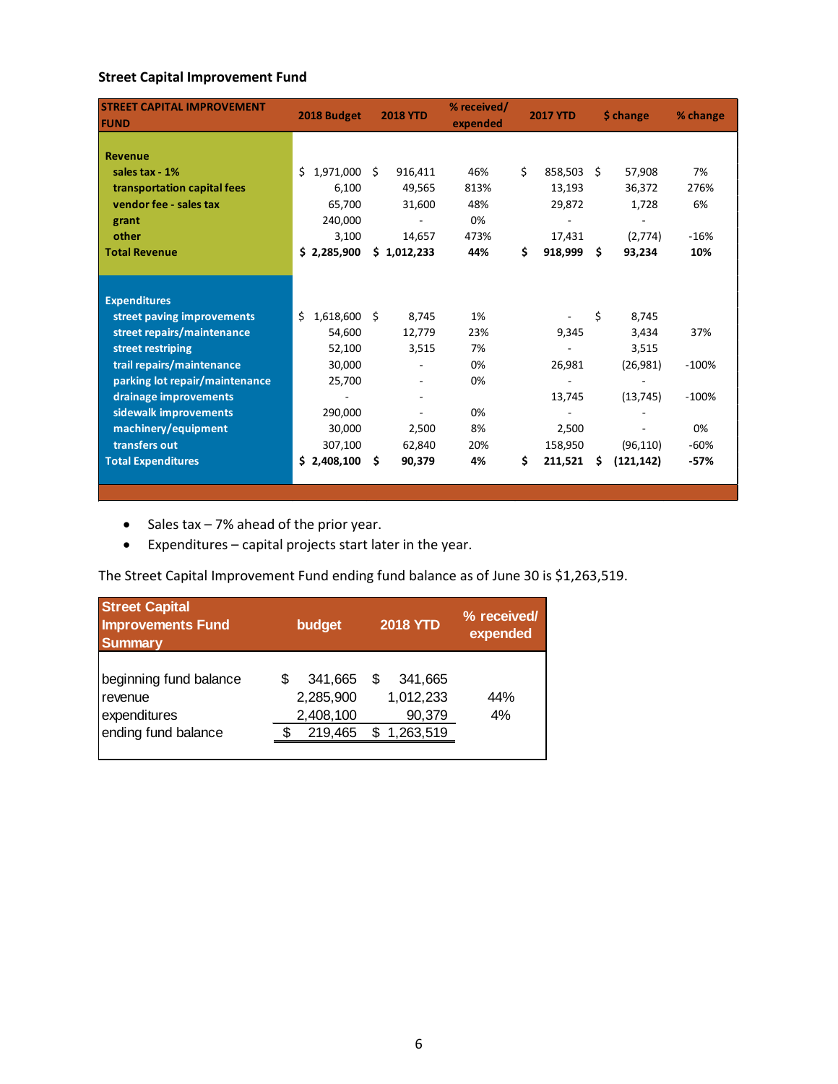### **Street Capital Improvement Fund**

| <b>STREET CAPITAL IMPROVEMENT</b><br><b>FUND</b> | 2018 Budget         |     | <b>2018 YTD</b> | % received/<br>expended | <b>2017 YTD</b> |         | \$ change |            | % change |
|--------------------------------------------------|---------------------|-----|-----------------|-------------------------|-----------------|---------|-----------|------------|----------|
|                                                  |                     |     |                 |                         |                 |         |           |            |          |
| Revenue                                          |                     |     |                 |                         |                 |         |           |            |          |
| sales tax - 1%                                   | 1,971,000<br>Ś.     | Ŝ.  | 916,411         | 46%                     | \$              | 858,503 | Ŝ.        | 57,908     | 7%       |
| transportation capital fees                      | 6,100               |     | 49,565          | 813%                    |                 | 13,193  |           | 36,372     | 276%     |
| vendor fee - sales tax                           | 65,700              |     | 31,600          | 48%                     |                 | 29,872  |           | 1,728      | 6%       |
| grant                                            | 240,000             |     |                 | 0%                      |                 |         |           |            |          |
| other                                            | 3,100               |     | 14,657          | 473%                    |                 | 17,431  |           | (2,774)    | $-16%$   |
| <b>Total Revenue</b>                             | \$2,285,900         |     | \$1,012,233     | 44%                     | \$              | 918,999 | \$        | 93,234     | 10%      |
|                                                  |                     |     |                 |                         |                 |         |           |            |          |
|                                                  |                     |     |                 |                         |                 |         |           |            |          |
| <b>Expenditures</b>                              |                     |     |                 |                         |                 |         |           |            |          |
| street paving improvements                       | Ś<br>$1,618,600$ \$ |     | 8,745           | 1%                      |                 |         | \$        | 8,745      |          |
| street repairs/maintenance                       | 54,600              |     | 12,779          | 23%                     |                 | 9,345   |           | 3,434      | 37%      |
| street restriping                                | 52,100              |     | 3,515           | 7%                      |                 |         |           | 3,515      |          |
| trail repairs/maintenance                        | 30,000              |     |                 | 0%                      |                 | 26,981  |           | (26, 981)  | $-100%$  |
| parking lot repair/maintenance                   | 25,700              |     |                 | 0%                      |                 |         |           |            |          |
| drainage improvements                            |                     |     |                 |                         |                 | 13,745  |           | (13, 745)  | $-100%$  |
| sidewalk improvements                            | 290,000             |     |                 | 0%                      |                 |         |           |            |          |
| machinery/equipment                              | 30,000              |     | 2,500           | 8%                      |                 | 2,500   |           |            | 0%       |
| transfers out                                    | 307,100             |     | 62,840          | 20%                     |                 | 158,950 |           | (96, 110)  | $-60%$   |
| <b>Total Expenditures</b>                        | \$2,408,100         | \$. | 90,379          | 4%                      | \$              | 211,521 | \$        | (121, 142) | $-57%$   |
|                                                  |                     |     |                 |                         |                 |         |           |            |          |

- Sales tax 7% ahead of the prior year.
- Expenditures capital projects start later in the year.

The Street Capital Improvement Fund ending fund balance as of June 30 is \$1,263,519.

| <b>Street Capital</b><br><b>Improvements Fund</b><br><b>Summary</b>      | <b>2018 YTD</b><br>budget                    |                                                  |           |  |
|--------------------------------------------------------------------------|----------------------------------------------|--------------------------------------------------|-----------|--|
| beginning fund balance<br>revenue<br>expenditures<br>ending fund balance | 341,665<br>2,285,900<br>2,408,100<br>219,465 | 341,665<br>S<br>1,012,233<br>90,379<br>1,263,519 | 44%<br>4% |  |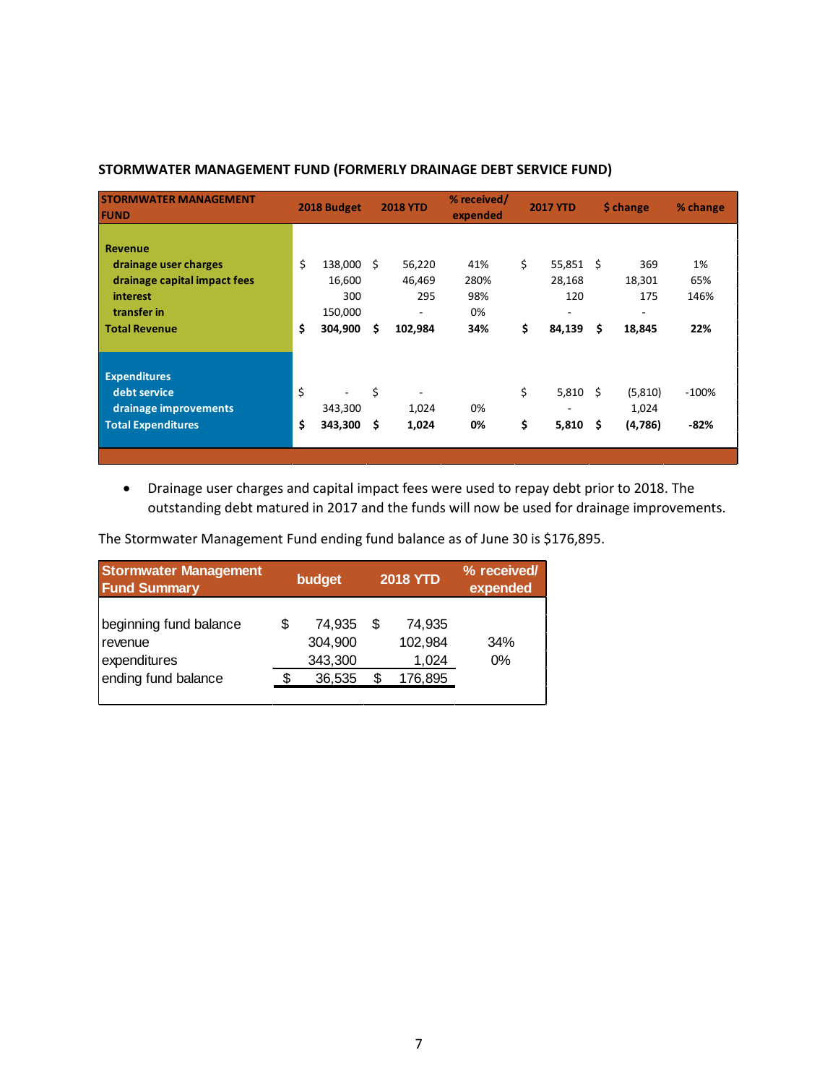| <b>STORMWATER MANAGEMENT</b><br><b>FUND</b>                                                                                |          | 2018 Budget                                    |          | <b>2018 YTD</b>                                                | % received/<br>expended         |          | <b>2017 YTD</b>                             |          | \$ change                           | % change                 |
|----------------------------------------------------------------------------------------------------------------------------|----------|------------------------------------------------|----------|----------------------------------------------------------------|---------------------------------|----------|---------------------------------------------|----------|-------------------------------------|--------------------------|
| <b>Revenue</b><br>drainage user charges<br>drainage capital impact fees<br>interest<br>transfer in<br><b>Total Revenue</b> | \$<br>\$ | 138,000<br>16,600<br>300<br>150,000<br>304,900 | -Ś<br>\$ | 56,220<br>46,469<br>295<br>$\overline{\phantom{a}}$<br>102,984 | 41%<br>280%<br>98%<br>0%<br>34% | \$<br>\$ | $55,851$ \$<br>28,168<br>120<br>۰<br>84,139 | \$       | 369<br>18,301<br>175<br>-<br>18,845 | 1%<br>65%<br>146%<br>22% |
| <b>Expenditures</b><br>debt service<br>drainage improvements<br><b>Total Expenditures</b>                                  | \$<br>\$ | 343,300<br>343,300                             | \$<br>\$ | $\overline{\phantom{a}}$<br>1,024<br>1,024                     | 0%<br>0%                        | \$<br>\$ | 5,810<br>5,810                              | Ŝ.<br>\$ | (5,810)<br>1,024<br>(4,786)         | $-100%$<br>$-82%$        |

### **STORMWATER MANAGEMENT FUND (FORMERLY DRAINAGE DEBT SERVICE FUND)**

• Drainage user charges and capital impact fees were used to repay debt prior to 2018. The outstanding debt matured in 2017 and the funds will now be used for drainage improvements.

The Stormwater Management Fund ending fund balance as of June 30 is \$176,895.

| <b>Stormwater Management</b><br><b>Fund Summary</b>                      |     | budget                                 |   | <b>2018 YTD</b>                       | % received/<br>expended |
|--------------------------------------------------------------------------|-----|----------------------------------------|---|---------------------------------------|-------------------------|
| beginning fund balance<br>revenue<br>expenditures<br>ending fund balance | \$. | 74.935<br>304,900<br>343,300<br>36,535 | S | 74.935<br>102,984<br>1,024<br>176,895 | 34%<br>0%               |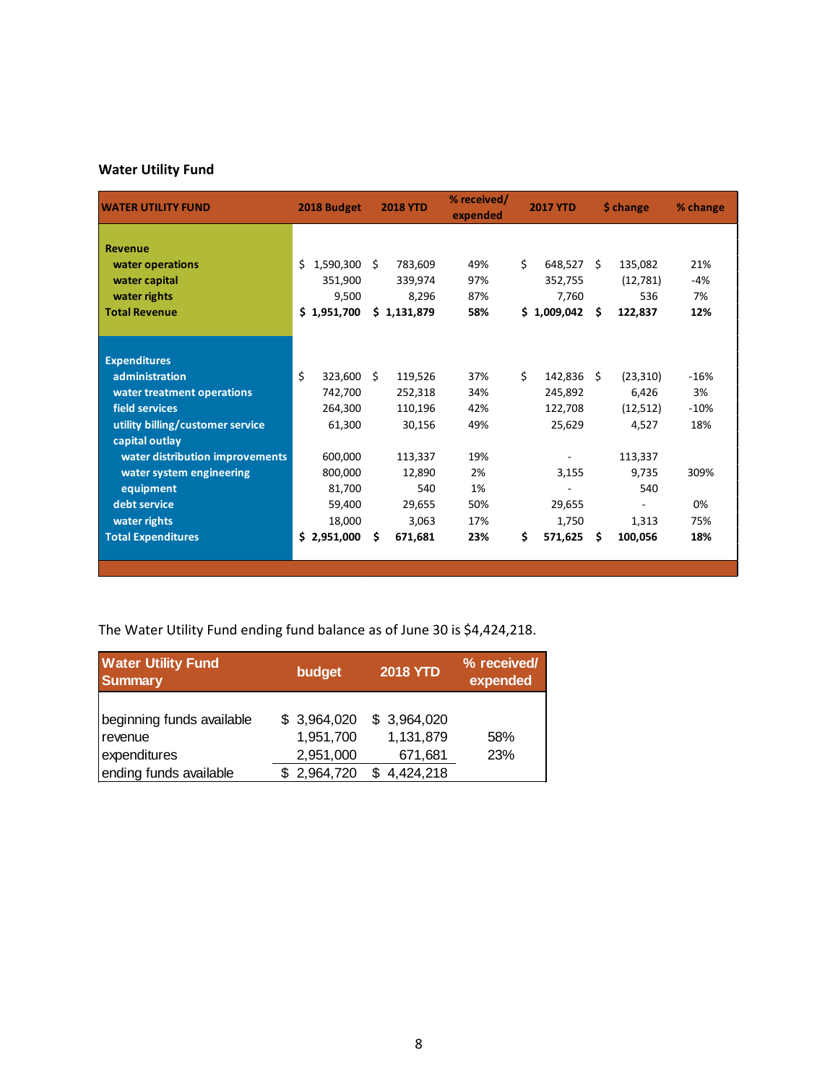# **Water Utility Fund**

| <b>WATER UTILITY FUND</b>        | 2018 Budget     |    | <b>2018 YTD</b> | % received/<br>expended | <b>2017 YTD</b> |             | \$ change |           | % change |
|----------------------------------|-----------------|----|-----------------|-------------------------|-----------------|-------------|-----------|-----------|----------|
|                                  |                 |    |                 |                         |                 |             |           |           |          |
| <b>Revenue</b>                   |                 |    |                 |                         |                 |             |           |           |          |
| water operations                 | Ś.<br>1,590,300 | Ŝ. | 783,609         | 49%                     | \$              | 648,527     | Ŝ.        | 135,082   | 21%      |
| water capital                    | 351,900         |    | 339,974         | 97%                     |                 | 352,755     |           | (12,781)  | $-4%$    |
| water rights                     | 9.500           |    | 8,296           | 87%                     |                 | 7,760       |           | 536       | 7%       |
| <b>Total Revenue</b>             | \$1,951,700     |    | \$1,131,879     | 58%                     |                 | \$1,009,042 | \$        | 122,837   | 12%      |
|                                  |                 |    |                 |                         |                 |             |           |           |          |
| <b>Expenditures</b>              |                 |    |                 |                         |                 |             |           |           |          |
| administration                   | Ś.<br>323,600   | Ŝ. | 119,526         | 37%                     | \$              | 142,836     | Ŝ.        | (23, 310) | $-16%$   |
| water treatment operations       | 742,700         |    | 252,318         | 34%                     |                 | 245,892     |           | 6,426     | 3%       |
| field services                   | 264,300         |    | 110,196         | 42%                     |                 | 122,708     |           | (12,512)  | $-10%$   |
| utility billing/customer service | 61,300          |    | 30,156          | 49%                     |                 | 25,629      |           | 4,527     | 18%      |
| capital outlay                   |                 |    |                 |                         |                 |             |           |           |          |
| water distribution improvements  | 600,000         |    | 113,337         | 19%                     |                 |             |           | 113,337   |          |
| water system engineering         | 800,000         |    | 12,890          | 2%                      |                 | 3,155       |           | 9,735     | 309%     |
| equipment                        | 81,700          |    | 540             | 1%                      |                 |             |           | 540       |          |
| debt service                     | 59.400          |    | 29,655          | 50%                     |                 | 29,655      |           |           | 0%       |
| water rights                     | 18,000          |    | 3,063           | 17%                     |                 | 1,750       |           | 1,313     | 75%      |
| <b>Total Expenditures</b>        | \$2,951,000     | \$ | 671,681         | 23%                     | \$              | 571,625     | \$.       | 100,056   | 18%      |
|                                  |                 |    |                 |                         |                 |             |           |           |          |
|                                  |                 |    |                 |                         |                 |             |           |           |          |

The Water Utility Fund ending fund balance as of June 30 is \$4,424,218.

| <b>Water Utility Fund</b><br><b>Summary</b>                                    | budget                                               | <b>2018 YTD</b>                                  | % received/<br>expended |  |  |
|--------------------------------------------------------------------------------|------------------------------------------------------|--------------------------------------------------|-------------------------|--|--|
| beginning funds available<br>revenue<br>expenditures<br>ending funds available | \$3,964,020<br>1,951,700<br>2,951,000<br>\$2,964,720 | \$3,964,020<br>1,131,879<br>671,681<br>4,424,218 | 58%<br>23%              |  |  |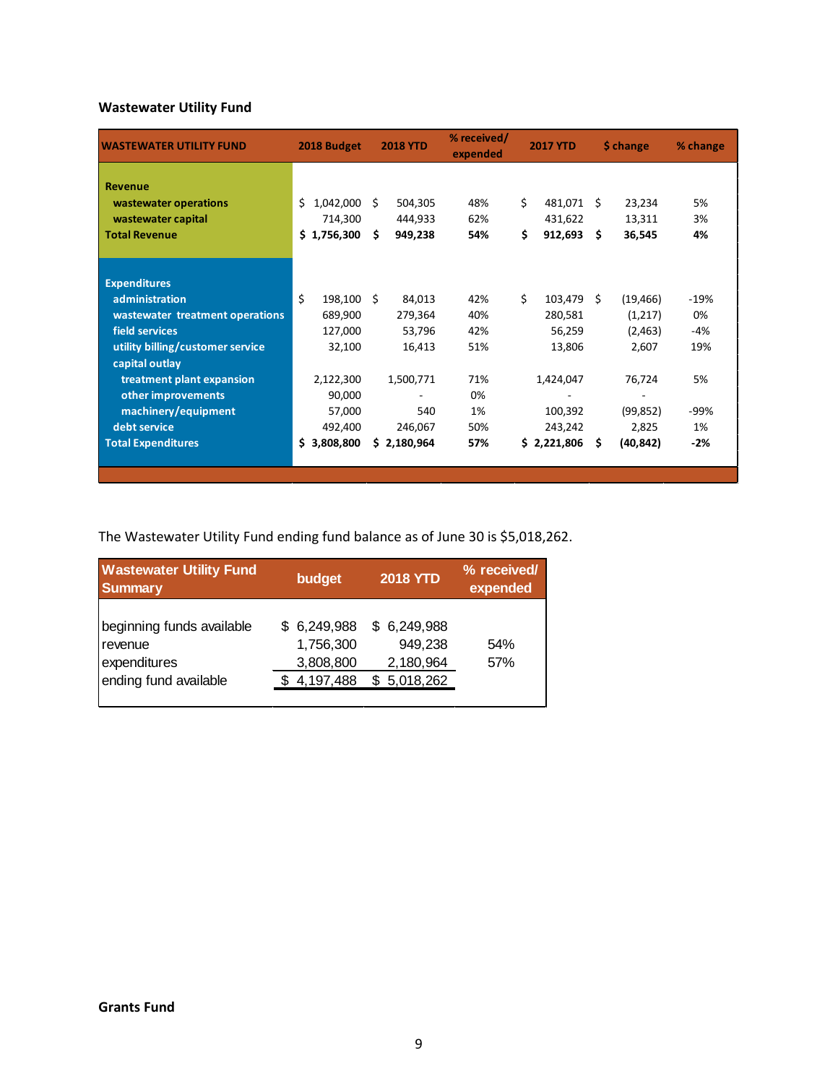# **Wastewater Utility Fund**

| <b>WASTEWATER UTILITY FUND</b>          | 2018 Budget     | <b>2018 YTD</b> | % received/<br>expended | <b>2017 YTD</b> | \$ change       | % change |
|-----------------------------------------|-----------------|-----------------|-------------------------|-----------------|-----------------|----------|
| <b>Revenue</b><br>wastewater operations | Ś.<br>1,042,000 | Ŝ.<br>504,305   | 48%                     | \$<br>481,071   | Ŝ.<br>23,234    | 5%       |
| wastewater capital                      | 714,300         | 444,933         | 62%                     | 431,622         | 13,311          | 3%       |
| <b>Total Revenue</b>                    | \$1,756,300     | Ś.<br>949,238   | 54%                     | \$<br>912,693   | 36,545<br>Ŝ.    | 4%       |
|                                         |                 |                 |                         |                 |                 |          |
| <b>Expenditures</b>                     |                 |                 |                         |                 |                 |          |
| administration                          | Ś.<br>198,100   | Ŝ.<br>84,013    | 42%                     | Ś.<br>103,479   | Ŝ.<br>(19, 466) | $-19%$   |
| wastewater treatment operations         | 689,900         | 279,364         | 40%                     | 280,581         | (1,217)         | 0%       |
| field services                          | 127,000         | 53,796          | 42%                     | 56,259          | (2, 463)        | $-4%$    |
| utility billing/customer service        | 32,100          | 16,413          | 51%                     | 13,806          | 2,607           | 19%      |
| capital outlay                          |                 |                 |                         |                 |                 |          |
| treatment plant expansion               | 2,122,300       | 1,500,771       | 71%                     | 1,424,047       | 76,724          | 5%       |
| other improvements                      | 90,000          |                 | 0%                      |                 |                 |          |
| machinery/equipment                     | 57,000          | 540             | 1%                      | 100,392         | (99, 852)       | -99%     |
| debt service                            | 492,400         | 246,067         | 50%                     | 243,242         | 2,825           | 1%       |
| <b>Total Expenditures</b>               | \$3,808,800     | \$2,180,964     | 57%                     | \$2,221,806     | (40, 842)<br>S  | $-2%$    |
|                                         |                 |                 |                         |                 |                 |          |

The Wastewater Utility Fund ending fund balance as of June 30 is \$5,018,262.

| <b>Wastewater Utility Fund</b><br><b>Summary</b>                              | budget                                             | <b>2018 YTD</b>                                  | % received/<br>expended |
|-------------------------------------------------------------------------------|----------------------------------------------------|--------------------------------------------------|-------------------------|
| beginning funds available<br>revenue<br>expenditures<br>ending fund available | \$6,249,988<br>1,756,300<br>3,808,800<br>4,197,488 | \$6,249,988<br>949,238<br>2,180,964<br>5,018,262 | 54%<br>57%              |